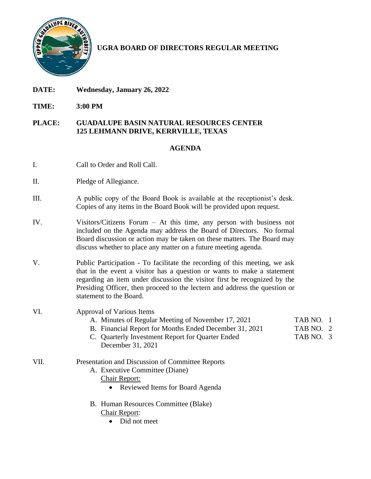

# **UGRA BOARD OF DIRECTORS REGULAR MEETING**

- **DATE: Wednesday, January 26, 2022**
- **TIME: 3:00 PM**

#### **PLACE: GUADALUPE BASIN NATURAL RESOURCES CENTER 125 LEHMANN DRIVE, KERRVILLE, TEXAS**

## **AGENDA**

- I. Call to Order and Roll Call.
- II. Pledge of Allegiance.
- III. A public copy of the Board Book is available at the receptionist's desk. Copies of any items in the Board Book will be provided upon request.
- IV. Visitors/Citizens Forum At this time, any person with business not included on the Agenda may address the Board of Directors. No formal Board discussion or action may be taken on these matters. The Board may discuss whether to place any matter on a future meeting agenda.
- V. Public Participation To facilitate the recording of this meeting, we ask that in the event a visitor has a question or wants to make a statement regarding an item under discussion the visitor first be recognized by the Presiding Officer, then proceed to the lectern and address the question or statement to the Board.
- VI. Approval of Various Items
	- A. Minutes of Regular Meeting of November 17, 2021 TAB NO. 1
	- B. Financial Report for Months Ended December 31, 2021 TAB NO. 2
	- C. Quarterly Investment Report for Quarter Ended TAB NO. 3 December 31, 2021

#### VII. Presentation and Discussion of Committee Reports

- A. Executive Committee (Diane)
	- Chair Report:
		- Reviewed Items for Board Agenda
- B. Human Resources Committee (Blake) Chair Report:
	- Did not meet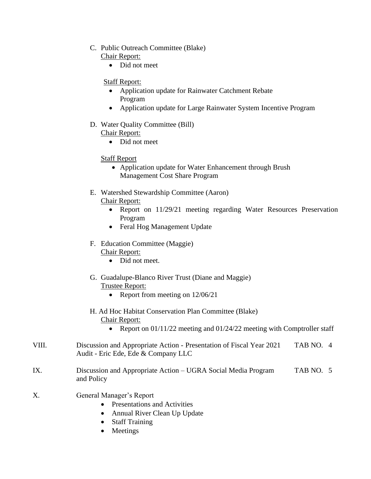- C. Public Outreach Committee (Blake)
	- Chair Report:
		- Did not meet

Staff Report:

- Application update for Rainwater Catchment Rebate Program
- Application update for Large Rainwater System Incentive Program
- D. Water Quality Committee (Bill) Chair Report:
	- Did not meet

Staff Report

- Application update for Water Enhancement through Brush Management Cost Share Program
- E. Watershed Stewardship Committee (Aaron)
	- Chair Report:
		- Report on 11/29/21 meeting regarding Water Resources Preservation Program
		- Feral Hog Management Update
- F. Education Committee (Maggie)

## Chair Report:

- Did not meet.
- G. Guadalupe-Blanco River Trust (Diane and Maggie) Trustee Report:
	- Report from meeting on  $12/06/21$
- H. Ad Hoc Habitat Conservation Plan Committee (Blake) Chair Report:
	- Report on 01/11/22 meeting and 01/24/22 meeting with Comptroller staff
- VIII. Discussion and Appropriate Action Presentation of Fiscal Year 2021 TAB NO. 4 Audit - Eric Ede, Ede & Company LLC
- IX. Discussion and Appropriate Action UGRA Social Media Program TAB NO. 5 and Policy
- X. General Manager's Report
	- Presentations and Activities
	- Annual River Clean Up Update
	- Staff Training
	- Meetings